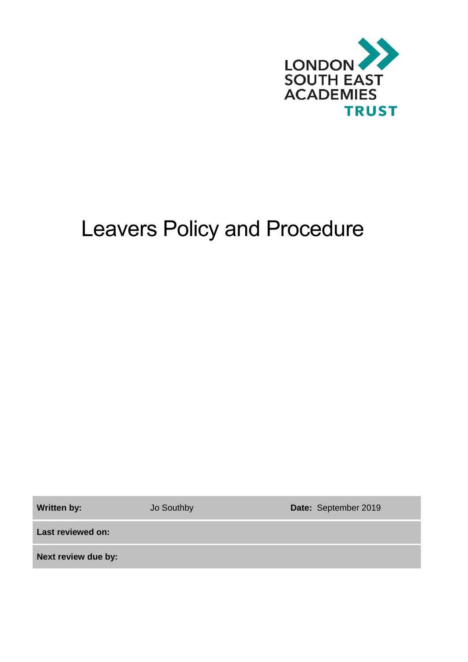

# Leavers Policy and Procedure

Written by: **Jo Southby <b>Date:** September 2019

**Last reviewed on:**

**Next review due by:**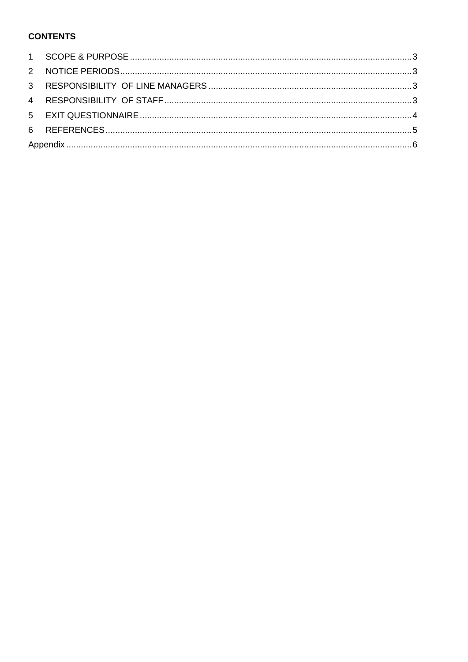### **CONTENTS**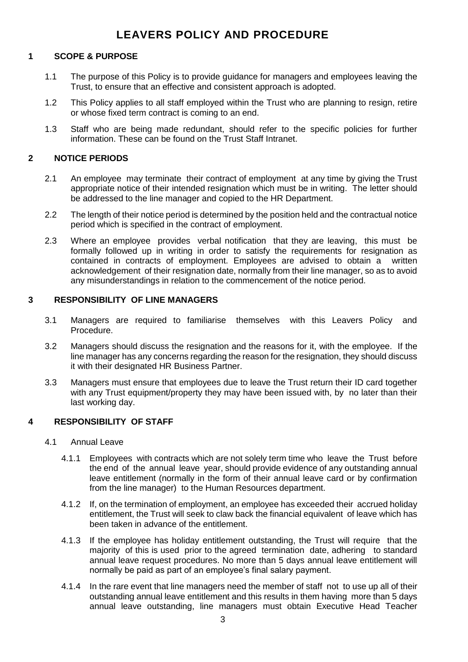# **LEAVERS POLICY AND PROCEDURE**

#### <span id="page-2-0"></span>**1 SCOPE & PURPOSE**

- 1.1 The purpose of this Policy is to provide guidance for managers and employees leaving the Trust, to ensure that an effective and consistent approach is adopted.
- 1.2 This Policy applies to all staff employed within the Trust who are planning to resign, retire or whose fixed term contract is coming to an end.
- 1.3 Staff who are being made redundant, should refer to the specific policies for further information. These can be found on the Trust Staff Intranet.

#### <span id="page-2-1"></span>**2 NOTICE PERIODS**

- 2.1 An employee may terminate their contract of employment at any time by giving the Trust appropriate notice of their intended resignation which must be in writing. The letter should be addressed to the line manager and copied to the HR Department.
- 2.2 The length of their notice period is determined by the position held and the contractual notice period which is specified in the contract of employment.
- 2.3 Where an employee provides verbal notification that they are leaving, this must be formally followed up in writing in order to satisfy the requirements for resignation as contained in contracts of employment. Employees are advised to obtain a written acknowledgement of their resignation date, normally from their line manager, so as to avoid any misunderstandings in relation to the commencement of the notice period.

#### <span id="page-2-2"></span>**3 RESPONSIBILITY OF LINE MANAGERS**

- 3.1 Managers are required to familiarise themselves with this Leavers Policy and Procedure.
- 3.2 Managers should discuss the resignation and the reasons for it, with the employee. If the line manager has any concerns regarding the reason for the resignation, they should discuss it with their designated HR Business Partner.
- 3.3 Managers must ensure that employees due to leave the Trust return their ID card together with any Trust equipment/property they may have been issued with, by no later than their last working day.

#### <span id="page-2-3"></span>**4 RESPONSIBILITY OF STAFF**

- 4.1 Annual Leave
	- 4.1.1 Employees with contracts which are not solely term time who leave the Trust before the end of the annual leave year, should provide evidence of any outstanding annual leave entitlement (normally in the form of their annual leave card or by confirmation from the line manager) to the Human Resources department.
	- 4.1.2 If, on the termination of employment, an employee has exceeded their accrued holiday entitlement, the Trust will seek to claw back the financial equivalent of leave which has been taken in advance of the entitlement.
	- 4.1.3 If the employee has holiday entitlement outstanding, the Trust will require that the majority of this is used prior to the agreed termination date, adhering to standard annual leave request procedures. No more than 5 days annual leave entitlement will normally be paid as part of an employee's final salary payment.
	- 4.1.4 In the rare event that line managers need the member of staff not to use up all of their outstanding annual leave entitlement and this results in them having more than 5 days annual leave outstanding, line managers must obtain Executive Head Teacher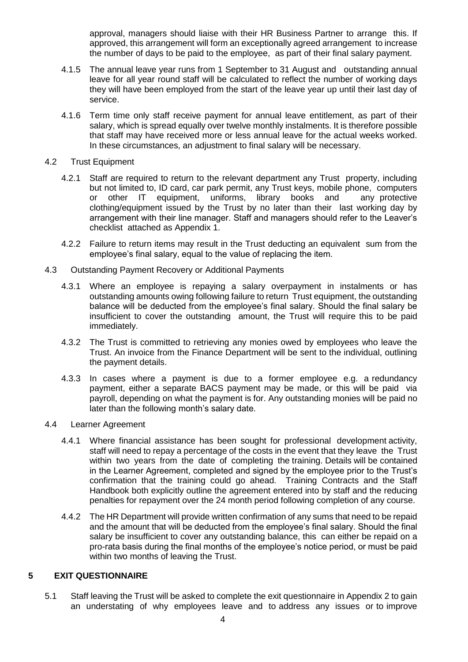approval, managers should liaise with their HR Business Partner to arrange this. If approved, this arrangement will form an exceptionally agreed arrangement to increase the number of days to be paid to the employee, as part of their final salary payment.

- 4.1.5 The annual leave year runs from 1 September to 31 August and outstanding annual leave for all year round staff will be calculated to reflect the number of working days they will have been employed from the start of the leave year up until their last day of service.
- 4.1.6 Term time only staff receive payment for annual leave entitlement, as part of their salary, which is spread equally over twelve monthly instalments. It is therefore possible that staff may have received more or less annual leave for the actual weeks worked. In these circumstances, an adjustment to final salary will be necessary.

#### 4.2 Trust Equipment

- 4.2.1 Staff are required to return to the relevant department any Trust property, including but not limited to, ID card, car park permit, any Trust keys, mobile phone, computers or other IT equipment, uniforms, library books and any protective clothing/equipment issued by the Trust by no later than their last working day by arrangement with their line manager. Staff and managers should refer to the Leaver's checklist attached as Appendix 1.
- 4.2.2 Failure to return items may result in the Trust deducting an equivalent sum from the employee's final salary, equal to the value of replacing the item.
- 4.3 Outstanding Payment Recovery or Additional Payments
	- 4.3.1 Where an employee is repaying a salary overpayment in instalments or has outstanding amounts owing following failure to return Trust equipment, the outstanding balance will be deducted from the employee's final salary. Should the final salary be insufficient to cover the outstanding amount, the Trust will require this to be paid immediately.
	- 4.3.2 The Trust is committed to retrieving any monies owed by employees who leave the Trust. An invoice from the Finance Department will be sent to the individual, outlining the payment details.
	- 4.3.3 In cases where a payment is due to a former employee e.g. a redundancy payment, either a separate BACS payment may be made, or this will be paid via payroll, depending on what the payment is for. Any outstanding monies will be paid no later than the following month's salary date.
- 4.4 Learner Agreement
	- 4.4.1 Where financial assistance has been sought for professional development activity, staff will need to repay a percentage of the costs in the event that they leave the Trust within two years from the date of completing the training. Details will be contained in the Learner Agreement, completed and signed by the employee prior to the Trust's confirmation that the training could go ahead. Training Contracts and the Staff Handbook both explicitly outline the agreement entered into by staff and the reducing penalties for repayment over the 24 month period following completion of any course.
	- 4.4.2 The HR Department will provide written confirmation of any sums that need to be repaid and the amount that will be deducted from the employee's final salary. Should the final salary be insufficient to cover any outstanding balance, this can either be repaid on a pro-rata basis during the final months of the employee's notice period, or must be paid within two months of leaving the Trust.

#### <span id="page-3-0"></span>**5 EXIT QUESTIONNAIRE**

5.1 Staff leaving the Trust will be asked to complete the exit questionnaire in Appendix 2 to gain an understating of why employees leave and to address any issues or to improve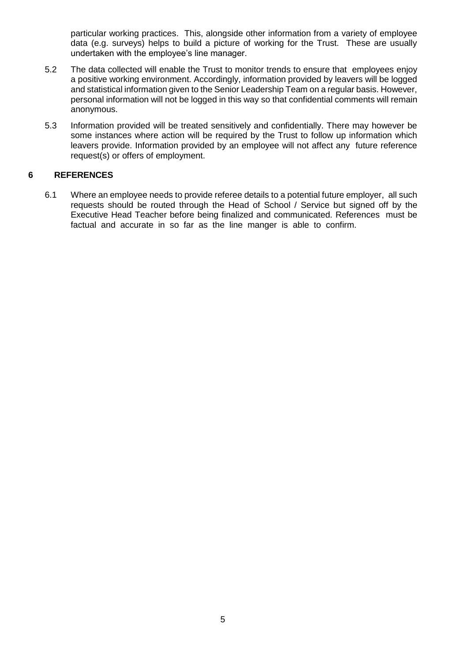particular working practices. This, alongside other information from a variety of employee data (e.g. surveys) helps to build a picture of working for the Trust. These are usually undertaken with the employee's line manager.

- 5.2 The data collected will enable the Trust to monitor trends to ensure that employees enjoy a positive working environment. Accordingly, information provided by leavers will be logged and statistical information given to the Senior Leadership Team on a regular basis. However, personal information will not be logged in this way so that confidential comments will remain anonymous.
- 5.3 Information provided will be treated sensitively and confidentially. There may however be some instances where action will be required by the Trust to follow up information which leavers provide. Information provided by an employee will not affect any future reference request(s) or offers of employment.

#### <span id="page-4-0"></span>**6 REFERENCES**

6.1 Where an employee needs to provide referee details to a potential future employer, all such requests should be routed through the Head of School / Service but signed off by the Executive Head Teacher before being finalized and communicated. References must be factual and accurate in so far as the line manger is able to confirm.